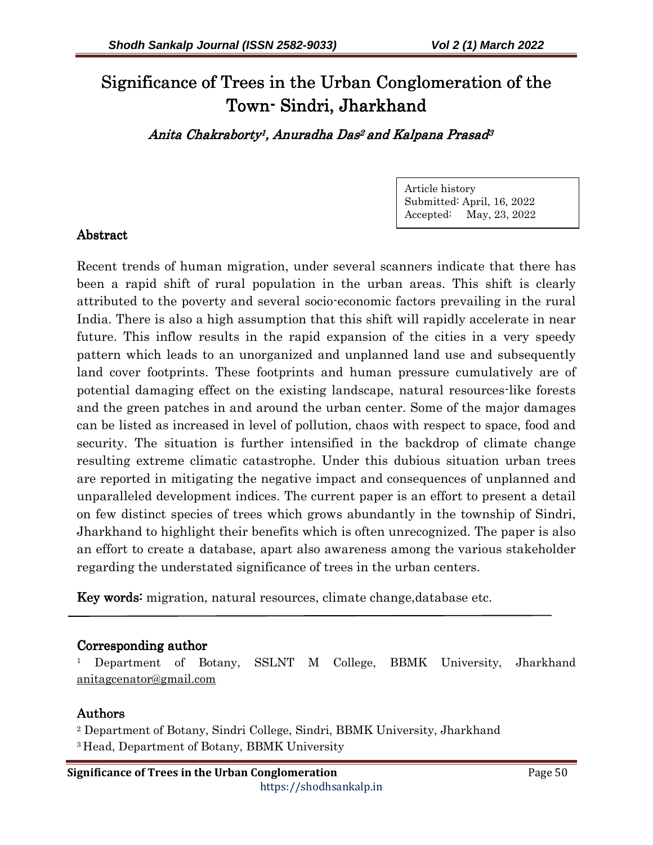# Significance of Trees in the Urban Conglomeration of the Town-Sindri, Jharkhand

Anita Chakraborty<sup>1</sup>, Anuradha Das<sup>2</sup> and Kalpana Prasad<sup>3</sup>

Article history Submitted: April, 16, 2022 Accepted: May, 23, 2022

# Abstract

Recent trends of human migration, under several scanners indicate that there has been a rapid shift of rural population in the urban areas. This shift is clearly attributed to the poverty and several socio-economic factors prevailing in the rural India. There is also a high assumption that this shift will rapidly accelerate in near future. This inflow results in the rapid expansion of the cities in a very speedy pattern which leads to an unorganized and unplanned land use and subsequently land cover footprints. These footprints and human pressure cumulatively are of potential damaging effect on the existing landscape, natural resources-like forests and the green patches in and around the urban center. Some of the major damages can be listed as increased in level of pollution, chaos with respect to space, food and security. The situation is further intensified in the backdrop of climate change resulting extreme climatic catastrophe. Under this dubious situation urban trees are reported in mitigating the negative impact and consequences of unplanned and unparalleled development indices. The current paper is an effort to present a detail on few distinct species of trees which grows abundantly in the township of Sindri, Jharkhand to highlight their benefits which is often unrecognized. The paper is also an effort to create a database, apart also awareness among the various stakeholder regarding the understated significance of trees in the urban centers.

Key words: migration, natural resources, climate change, database etc.

### Corresponding author

1 Department of Botany, SSLNT M College, BBMK University, Jharkhand anitagcenator@gmail.com

### **Authors**

2 Department of Botany, Sindri College, Sindri, BBMK University, Jharkhand <sup>3</sup>Head, Department of Botany, BBMK University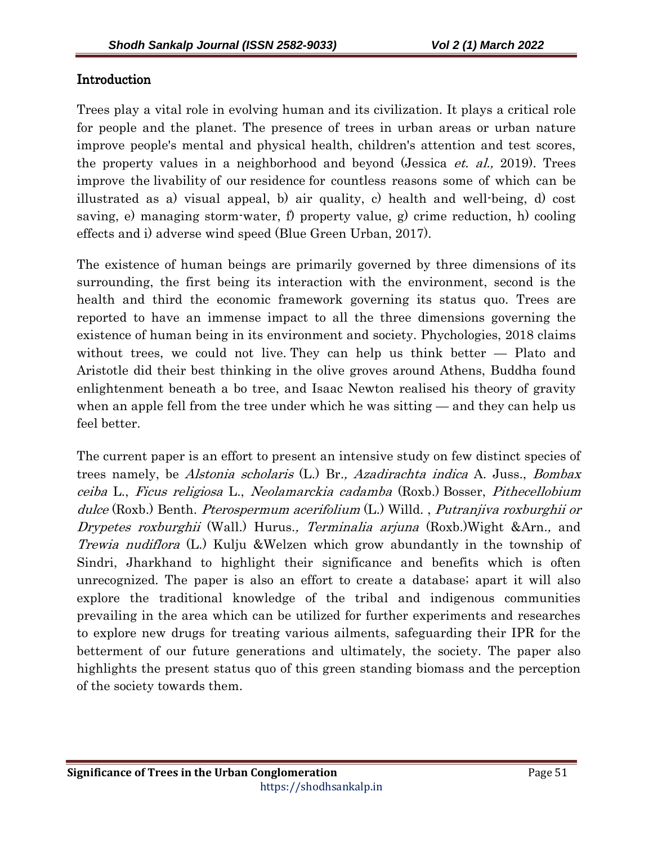# Introduction

Trees play a vital role in evolving human and its civilization. It plays a critical role for people and the planet. The presence of trees in urban areas or urban nature improve people's mental and physical health, children's attention and test scores, the property values in a neighborhood and beyond (Jessica *et. al.*, 2019). Trees improve the livability of our residence for countless reasons some of which can be illustrated as a) visual appeal, b) air quality, c) health and well-being, d) cost saving, e) managing storm-water, f) property value, g) crime reduction, h) cooling effects and i) adverse wind speed (Blue Green Urban, 2017).

The existence of human beings are primarily governed by three dimensions of its surrounding, the first being its interaction with the environment, second is the health and third the economic framework governing its status quo. Trees are reported to have an immense impact to all the three dimensions governing the existence of human being in its environment and society. Phychologies, 2018 claims without trees, we could not live. They can help us think better — Plato and Aristotle did their best thinking in the olive groves around Athens, Buddha found enlightenment beneath a bo tree, and Isaac Newton realised his theory of gravity when an apple fell from the tree under which he was sitting — and they can help us feel better.

The current paper is an effort to present an intensive study on few distinct species of trees namely, be Alstonia scholaris (L.) Br., Azadirachta indica A. Juss., Bombax ceiba L., Ficus religiosa L., Neolamarckia cadamba (Roxb.) Bosser, Pithecellobium dulce (Roxb.) Benth. Pterospermum acerifolium (L.) Willd., Putranjiva roxburghii or Drypetes roxburghii (Wall.) Hurus., Terminalia arjuna (Roxb.) Wight &Arn., and Trewia nudiflora (L.) Kulju &Welzen which grow abundantly in the township of Sindri, Jharkhand to highlight their significance and benefits which is often unrecognized. The paper is also an effort to create a database; apart it will also explore the traditional knowledge of the tribal and indigenous communities prevailing in the area which can be utilized for further experiments and researches to explore new drugs for treating various ailments, safeguarding their IPR for the betterment of our future generations and ultimately, the society. The paper also highlights the present status quo of this green standing biomass and the perception of the society towards them.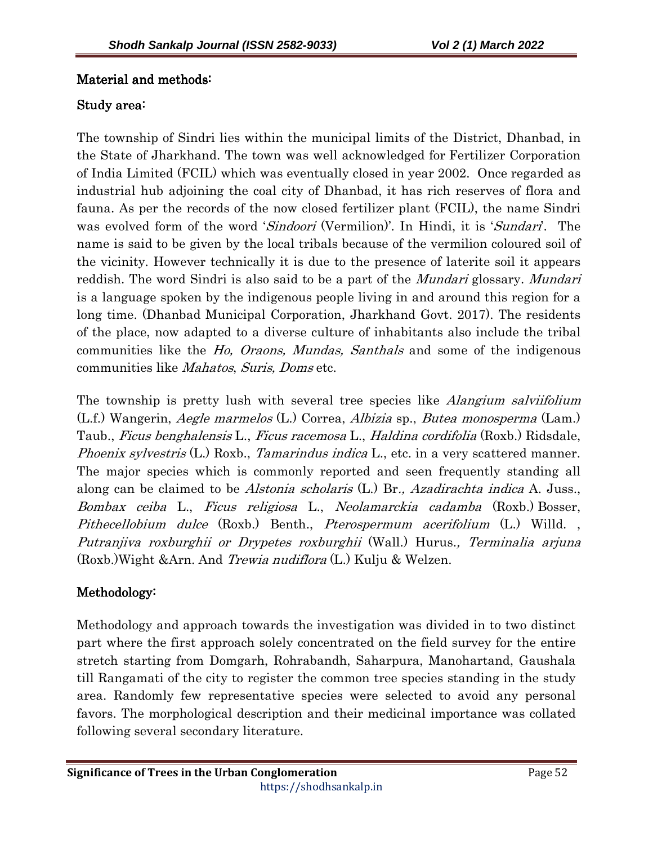# Material and methods:

# Study area:

The township of Sindri lies within the municipal limits of the District, Dhanbad, in the State of Jharkhand. The town was well acknowledged for Fertilizer Corporation of India Limited (FCIL) which was eventually closed in year 2002. Once regarded as industrial hub adjoining the coal city of Dhanbad, it has rich reserves of flora and fauna. As per the records of the now closed fertilizer plant (FCIL), the name Sindri was evolved form of the word 'Sindoori (Vermilion)'. In Hindi, it is 'Sundari'. The name is said to be given by the local tribals because of the vermilion coloured soil of the vicinity. However technically it is due to the presence of laterite soil it appears reddish. The word Sindri is also said to be a part of the *Mundari* glossary. Mundari is a language spoken by the indigenous people living in and around this region for a long time. (Dhanbad Municipal Corporation, Jharkhand Govt. 2017). The residents of the place, now adapted to a diverse culture of inhabitants also include the tribal communities like the Ho, Oraons, Mundas, Santhals and some of the indigenous communities like Mahatos, Suris, Doms etc.

The township is pretty lush with several tree species like *Alangium salviifolium* (L.f.) Wangerin, Aegle marmelos (L.) Correa, Albizia sp., Butea monosperma (Lam.) Taub., Ficus benghalensis L., Ficus racemosa L., Haldina cordifolia (Roxb.) Ridsdale, Phoenix sylvestris (L.) Roxb., Tamarindus indica L., etc. in a very scattered manner. The major species which is commonly reported and seen frequently standing all along can be claimed to be Alstonia scholaris (L.) Br., Azadirachta indica A. Juss., Bombax ceiba L., Ficus religiosa L., Neolamarckia cadamba (Roxb.) Bosser, Pithecellobium dulce (Roxb.) Benth., Pterospermum acerifolium (L.) Willd., Putranjiva roxburghii or Drypetes roxburghii (Wall.) Hurus., Terminalia arjuna (Roxb.)Wight &Arn. And Trewia nudiflora (L.) Kulju & Welzen.

# Methodology: Methodology:

Methodology and approach towards the investigation was divided in to two distinct part where the first approach solely concentrated on the field survey for the entire stretch starting from Domgarh, Rohrabandh, Saharpura, Manohartand, Gaushala till Rangamati of the city to register the common tree species standing in the study area. Randomly few representative species were selected to avoid any personal favors. The morphological description and their medicinal importance was collated following several secondary literature.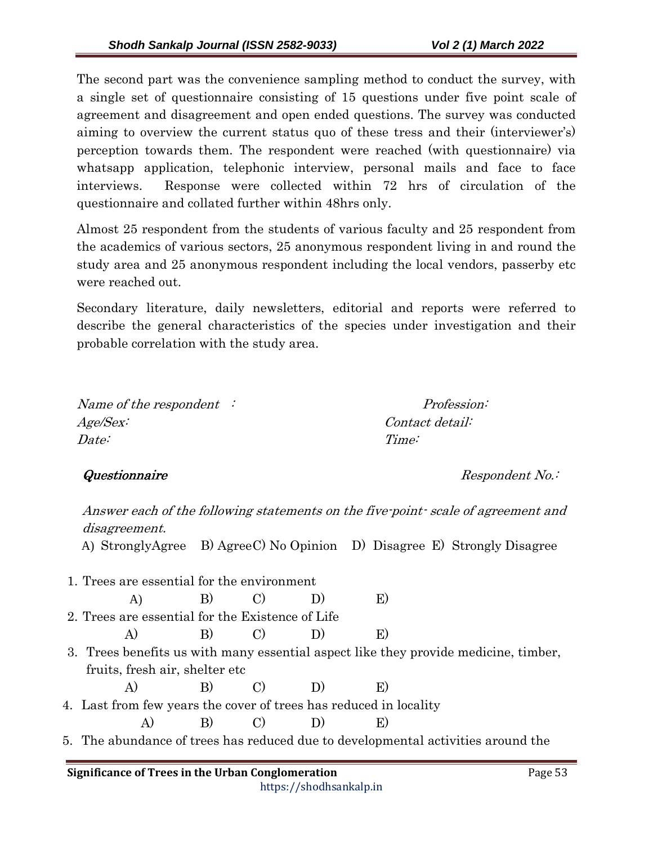The second part was the convenience sampling method to conduct the survey, with a single set of questionnaire consisting of 15 questions under five point scale of agreement and disagreement and open ended questions. The survey was conducted aiming to overview the current status quo of these tress and their (interviewer's) perception towards them. The respondent were reached (with questionnaire) via whatsapp application, telephonic interview, personal mails and face to face interviews. Response were collected within 72 hrs of circulation of the questionnaire and collated further within 48hrs only.

Almost 25 respondent from the students of various faculty and 25 respondent from the academics of various sectors, 25 anonymous respondent living in and round the study area and 25 anonymous respondent including the local vendors, passerby etc were reached out.

Secondary literature, daily newsletters, editorial and reports were referred to describe the general characteristics of the species under investigation and their probable correlation with the study area.

Name of the respondent : Profession: Age/Sex: Contact detail: Date: Time:

Questionnaire Respondent No.:

Answer each of the following statements on the five-point- scale of agreement and disagreement. A) StronglyAgree B) Agree C) No Opinion D) Disagree E) Strongly Disagree 1. Trees are essential for the environment A) B) C) D) E) 2. Trees are essential for the Existence of Life A) B) C) D) E) 3. Trees benefits us with many essential aspect like they provide medicine, timber, fruits, fresh air, shelter etc A) B) C) D) E) 4. Last from few years the cover of trees has reduced in locality A) B) C) D) E) 5. The abundance of trees has reduced due to developmental activities around the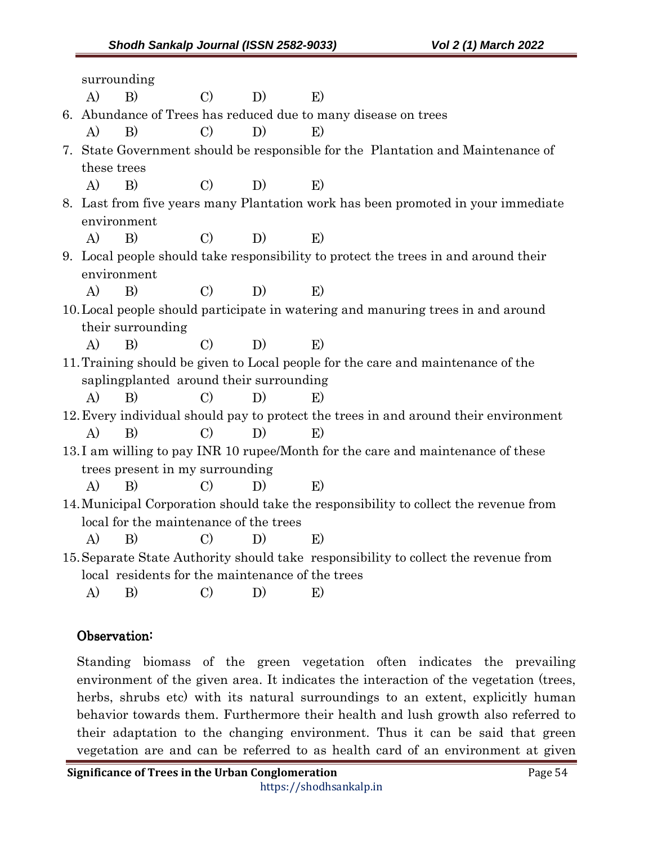|                                                                                      |                                                                                     | surrounding       |               |    |       |
|--------------------------------------------------------------------------------------|-------------------------------------------------------------------------------------|-------------------|---------------|----|-------|
|                                                                                      | A)                                                                                  | B)                | $\mathcal{C}$ | D) | E)    |
|                                                                                      | 6. Abundance of Trees has reduced due to many disease on trees                      |                   |               |    |       |
|                                                                                      | A)                                                                                  | B)                | $\rm C)$      | D) | E)    |
|                                                                                      | 7. State Government should be responsible for the Plantation and Maintenance of     |                   |               |    |       |
|                                                                                      | these trees                                                                         |                   |               |    |       |
|                                                                                      | $\bf{A}$                                                                            | B)                | $\mathcal{C}$ | D) | E)    |
|                                                                                      | 8. Last from five years many Plantation work has been promoted in your immediate    |                   |               |    |       |
|                                                                                      | environment                                                                         |                   |               |    |       |
|                                                                                      | A)                                                                                  | B)                | $\mathcal{C}$ | D) | $E$ ) |
|                                                                                      | 9. Local people should take responsibility to protect the trees in and around their |                   |               |    |       |
|                                                                                      | environment                                                                         |                   |               |    |       |
|                                                                                      | A)                                                                                  | B)                | $\mathcal{C}$ | D) | E)    |
| 10. Local people should participate in watering and manuring trees in and around     |                                                                                     |                   |               |    |       |
|                                                                                      |                                                                                     | their surrounding |               |    |       |
|                                                                                      | A)                                                                                  | B)                | $\mathcal{C}$ | D) | E)    |
| 11. Training should be given to Local people for the care and maintenance of the     |                                                                                     |                   |               |    |       |
|                                                                                      | sapling planted around their surrounding                                            |                   |               |    |       |
|                                                                                      | A)                                                                                  | B)                | $\mathcal{C}$ | D) | E)    |
| 12. Every individual should pay to protect the trees in and around their environment |                                                                                     |                   |               |    |       |
|                                                                                      | $\mathbf{A}$                                                                        | B)                | $\mathcal{C}$ | D) | E)    |
| 13.I am willing to pay INR 10 rupee/Month for the care and maintenance of these      |                                                                                     |                   |               |    |       |
| trees present in my surrounding                                                      |                                                                                     |                   |               |    |       |
|                                                                                      | A)                                                                                  | B)                | $\mathcal{C}$ | D) | $E$ ) |
| 14. Municipal Corporation should take the responsibility to collect the revenue from |                                                                                     |                   |               |    |       |
| local for the maintenance of the trees                                               |                                                                                     |                   |               |    |       |
|                                                                                      | A)                                                                                  | B)                | $\mathcal{C}$ | D) | $E$ ) |
| 15. Separate State Authority should take responsibility to collect the revenue from  |                                                                                     |                   |               |    |       |
| local residents for the maintenance of the trees                                     |                                                                                     |                   |               |    |       |
|                                                                                      | A)                                                                                  | $\vert B \rangle$ | $\rm C)$      | D) | E)    |
|                                                                                      |                                                                                     |                   |               |    |       |

# Observation: Observation:

Standing biomass of the green vegetation often indicates the prevailing environment of the given area. It indicates the interaction of the vegetation (trees, herbs, shrubs etc) with its natural surroundings to an extent, explicitly human behavior towards them. Furthermore their health and lush growth also referred to their adaptation to the changing environment. Thus it can be said that green vegetation are and can be referred to as health card of an environment at given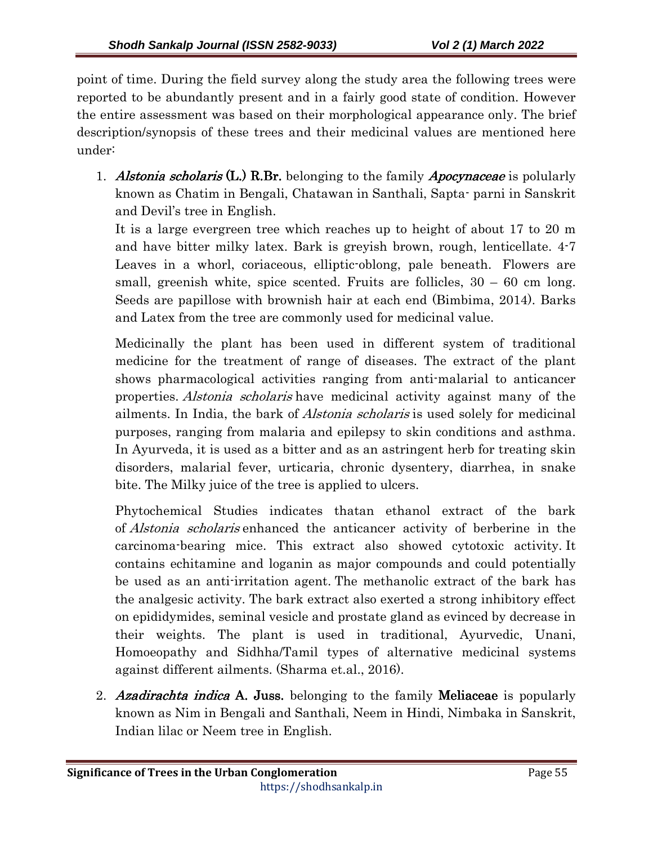point of time. During the field survey along the study area the following trees were reported to be abundantly present and in a fairly good state of condition. However the entire assessment was based on their morphological appearance only. The brief description/synopsis of these trees and their medicinal values are mentioned here under:

1. Alstonia scholaris  $(L)$  R.Br. belonging to the family *Apocynaceae* is polularly known as Chatim in Bengali, Chatawan in Santhali, Sapta- parni in Sanskrit and Devil's tree in English.

It is a large evergreen tree which reaches up to height of about 17 to 20 m and have bitter milky latex. Bark is greyish brown, rough, lenticellate. 4-7 Leaves in a whorl, coriaceous, elliptic-oblong, pale beneath. Flowers are small, greenish white, spice scented. Fruits are follicles,  $30 - 60$  cm long. Seeds are papillose with brownish hair at each end (Bimbima, 2014). Barks and Latex from the tree are commonly used for medicinal value.

Medicinally the plant has been used in different system of traditional medicine for the treatment of range of diseases. The extract of the plant shows pharmacological activities ranging from anti-malarial to anticancer properties. *Alstonia scholaris* have medicinal activity against many of the ailments. In India, the bark of Alstonia scholaris is used solely for medicinal purposes, ranging from malaria and epilepsy to skin conditions and asthma. In Ayurveda, it is used as a bitter and as an astringent herb for treating skin disorders, malarial fever, urticaria, chronic dysentery, diarrhea, in snake bite. The Milky juice of the tree is applied to ulcers.

Phytochemical Studies indicates thatan ethanol extract of the bark of Alstonia scholaris enhanced the anticancer activity of berberine in the carcinoma-bearing mice. This extract also showed cytotoxic activity. It contains echitamine and loganin as major compounds and could potentially be used as an anti-irritation agent. The methanolic extract of the bark has the analgesic activity. The bark extract also exerted a strong inhibitory effect on epididymides, seminal vesicle and prostate gland as evinced by decrease in their weights. The plant is used in traditional, Ayurvedic, Unani, Homoeopathy and Sidhha/Tamil types of alternative medicinal systems against different ailments. (Sharma et.al., 2016).

2. Azadirachta indica A. Juss. belonging to the family Meliaceae is popularly known as Nim in Bengali and Santhali, Neem in Hindi, Nimbaka in Sanskrit, Indian lilac or Neem tree in English.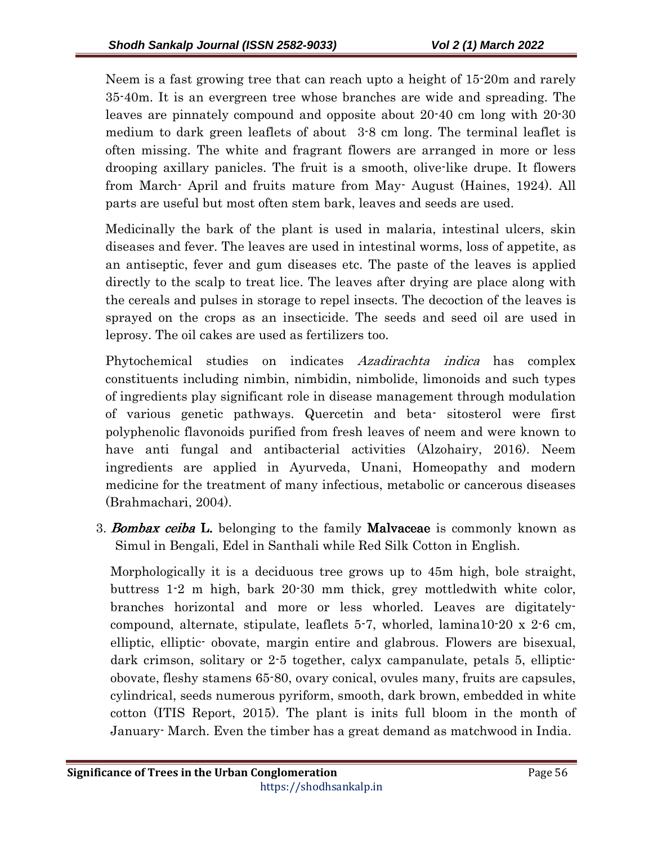Neem is a fast growing tree that can reach upto a height of 15-20m and rarely 35-40m. It is an evergreen tree whose branches are wide and spreading. The leaves are pinnately compound and opposite about 20-40 cm long with 20-30 medium to dark green leaflets of about 3-8 cm long. The terminal leaflet is often missing. The white and fragrant flowers are arranged in more or less drooping axillary panicles. The fruit is a smooth, olive-like drupe. It flowers from March- April and fruits mature from May- August (Haines, 1924). All parts are useful but most often stem bark, leaves and seeds are used.

Medicinally the bark of the plant is used in malaria, intestinal ulcers, skin diseases and fever. The leaves are used in intestinal worms, loss of appetite, as an antiseptic, fever and gum diseases etc. The paste of the leaves is applied directly to the scalp to treat lice. The leaves after drying are place along with the cereals and pulses in storage to repel insects. The decoction of the leaves is sprayed on the crops as an insecticide. The seeds and seed oil are used in leprosy. The oil cakes are used as fertilizers too.

Phytochemical studies on indicates Azadirachta indica has complex constituents including nimbin, nimbidin, nimbolide, limonoids and such types of ingredients play significant role in disease management through modulation of various genetic pathways. Quercetin and beta- sitosterol were first polyphenolic flavonoids purified from fresh leaves of neem and were known to have anti fungal and antibacterial activities (Alzohairy, 2016). Neem ingredients are applied in Ayurveda, Unani, Homeopathy and modern medicine for the treatment of many infectious, metabolic or cancerous diseases (Brahmachari, 2004).

3. **Bombax ceiba L.** belonging to the family **Malvaceae** is commonly known as Simul in Bengali, Edel in Santhali while Red Silk Cotton in English.

Morphologically it is a deciduous tree grows up to 45m high, bole straight, buttress 1-2 m high, bark 20-30 mm thick, grey mottledwith white color, branches horizontal and more or less whorled. Leaves are digitatelycompound, alternate, stipulate, leaflets 5-7, whorled, lamina10-20 x 2-6 cm, elliptic, elliptic- obovate, margin entire and glabrous. Flowers are bisexual, dark crimson, solitary or 2-5 together, calyx campanulate, petals 5, ellipticobovate, fleshy stamens 65-80, ovary conical, ovules many, fruits are capsules, cylindrical, seeds numerous pyriform, smooth, dark brown, embedded in white cotton (ITIS Report, 2015). The plant is inits full bloom in the month of January- March. Even the timber has a great demand as matchwood in India.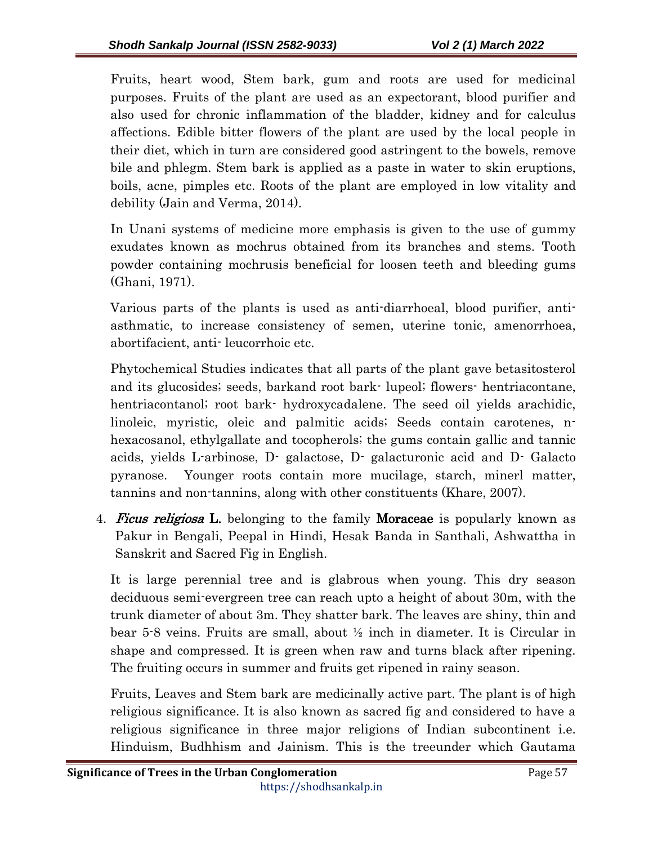Fruits, heart wood, Stem bark, gum and roots are used for medicinal purposes. Fruits of the plant are used as an expectorant, blood purifier and also used for chronic inflammation of the bladder, kidney and for calculus affections. Edible bitter flowers of the plant are used by the local people in their diet, which in turn are considered good astringent to the bowels, remove bile and phlegm. Stem bark is applied as a paste in water to skin eruptions, boils, acne, pimples etc. Roots of the plant are employed in low vitality and debility (Jain and Verma, 2014).

In Unani systems of medicine more emphasis is given to the use of gummy exudates known as mochrus obtained from its branches and stems. Tooth powder containing mochrusis beneficial for loosen teeth and bleeding gums (Ghani, 1971).

Various parts of the plants is used as anti-diarrhoeal, blood purifier, antiasthmatic, to increase consistency of semen, uterine tonic, amenorrhoea, abortifacient, anti- leucorrhoic etc.

Phytochemical Studies indicates that all parts of the plant gave betasitosterol and its glucosides; seeds, barkand root bark- lupeol; flowers- hentriacontane, hentriacontanol; root bark- hydroxycadalene. The seed oil yields arachidic, linoleic, myristic, oleic and palmitic acids; Seeds contain carotenes, nhexacosanol, ethylgallate and tocopherols; the gums contain gallic and tannic acids, yields L-arbinose, D- galactose, D- galacturonic acid and D- Galacto pyranose. Younger roots contain more mucilage, starch, minerl matter, tannins and non-tannins, along with other constituents (Khare, 2007).

4. **Ficus religiosa L.** belonging to the family **Moraceae** is popularly known as Pakur in Bengali, Peepal in Hindi, Hesak Banda in Santhali, Ashwattha in Sanskrit and Sacred Fig in English.

It is large perennial tree and is glabrous when young. This dry season deciduous semi-evergreen tree can reach upto a height of about 30m, with the trunk diameter of about 3m. They shatter bark. The leaves are shiny, thin and bear 5-8 veins. Fruits are small, about ½ inch in diameter. It is Circular in shape and compressed. It is green when raw and turns black after ripening. The fruiting occurs in summer and fruits get ripened in rainy season.

Fruits, Leaves and Stem bark are medicinally active part. The plant is of high religious significance. It is also known as sacred fig and considered to have a religious significance in three major religions of Indian subcontinent i.e. Hinduism, Budhhism and Jainism. This is the treeunder which Gautama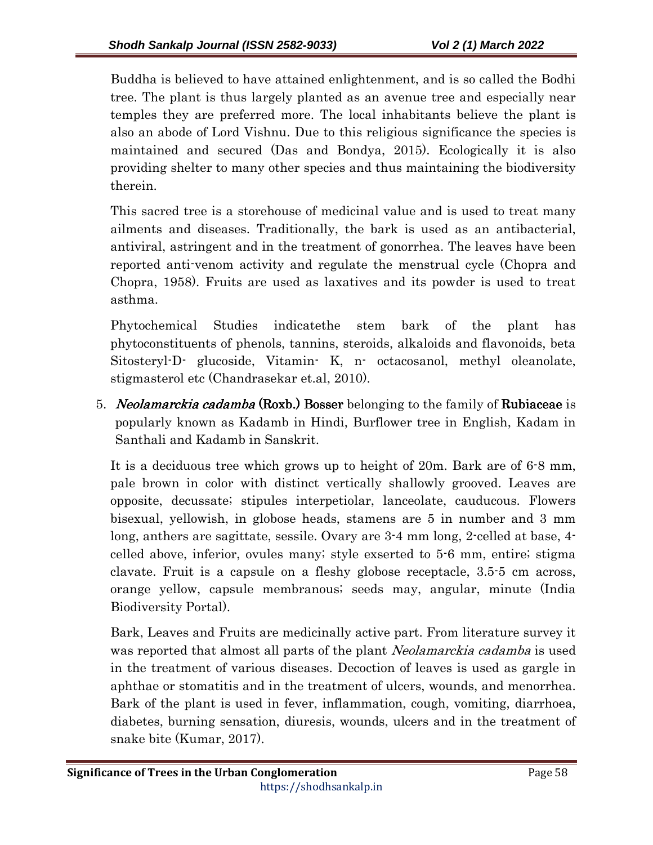Buddha is believed to have attained enlightenment, and is so called the Bodhi tree. The plant is thus largely planted as an avenue tree and especially near temples they are preferred more. The local inhabitants believe the plant is also an abode of Lord Vishnu. Due to this religious significance the species is maintained and secured (Das and Bondya, 2015). Ecologically it is also providing shelter to many other species and thus maintaining the biodiversity therein.

This sacred tree is a storehouse of medicinal value and is used to treat many ailments and diseases. Traditionally, the bark is used as an antibacterial, antiviral, astringent and in the treatment of gonorrhea. The leaves have been reported anti-venom activity and regulate the menstrual cycle (Chopra and Chopra, 1958). Fruits are used as laxatives and its powder is used to treat asthma.

Phytochemical Studies indicatethe stem bark of the plant has phytoconstituents of phenols, tannins, steroids, alkaloids and flavonoids, beta Sitosteryl-D- glucoside, Vitamin- K, n- octacosanol, methyl oleanolate, stigmasterol etc (Chandrasekar et.al, 2010).

5. Neolamarckia cadamba (Roxb.) Bosser belonging to the family of Rubiaceae is popularly known as Kadamb in Hindi, Burflower tree in English, Kadam in Santhali and Kadamb in Sanskrit.

It is a deciduous tree which grows up to height of 20m. Bark are of 6-8 mm, pale brown in color with distinct vertically shallowly grooved. Leaves are opposite, decussate; stipules interpetiolar, lanceolate, cauducous. Flowers bisexual, yellowish, in globose heads, stamens are 5 in number and 3 mm long, anthers are sagittate, sessile. Ovary are 3-4 mm long, 2-celled at base, 4 celled above, inferior, ovules many; style exserted to 5-6 mm, entire; stigma clavate. Fruit is a capsule on a fleshy globose receptacle, 3.5-5 cm across, orange yellow, capsule membranous; seeds may, angular, minute (India Biodiversity Portal).

Bark, Leaves and Fruits are medicinally active part. From literature survey it was reported that almost all parts of the plant *Neolamarckia cadamba* is used in the treatment of various diseases. Decoction of leaves is used as gargle in aphthae or stomatitis and in the treatment of ulcers, wounds, and menorrhea. Bark of the plant is used in fever, inflammation, cough, vomiting, diarrhoea, diabetes, burning sensation, diuresis, wounds, ulcers and in the treatment of snake bite (Kumar, 2017).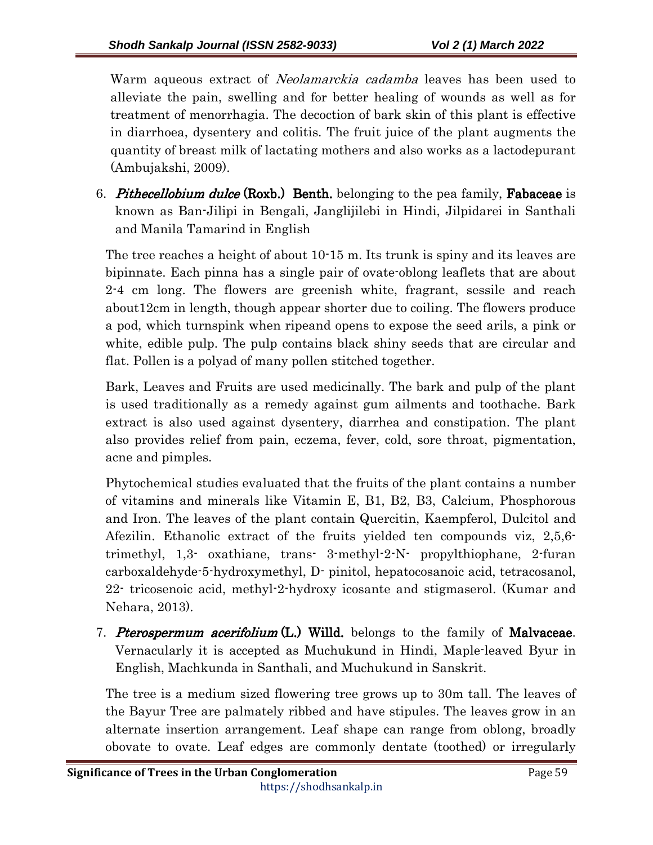Warm aqueous extract of *Neolamarckia cadamba* leaves has been used to alleviate the pain, swelling and for better healing of wounds as well as for treatment of menorrhagia. The decoction of bark skin of this plant is effective in diarrhoea, dysentery and colitis. The fruit juice of the plant augments the quantity of breast milk of lactating mothers and also works as a lactodepurant (Ambujakshi, 2009).

6. Pithecellobium dulce (Roxb.) Benth. belonging to the pea family, Fabaceae is known as Ban-Jilipi in Bengali, Janglijilebi in Hindi, Jilpidarei in Santhali and Manila Tamarind in English

The tree reaches a height of about 10-15 m. Its trunk is spiny and its leaves are bipinnate. Each pinna has a single pair of ovate-oblong leaflets that are about 2-4 cm long. The flowers are greenish white, fragrant, sessile and reach about12cm in length, though appear shorter due to coiling. The flowers produce a pod, which turnspink when ripeand opens to expose the seed arils, a pink or white, edible pulp. The pulp contains black shiny seeds that are circular and flat. Pollen is a polyad of many pollen stitched together.

Bark, Leaves and Fruits are used medicinally. The bark and pulp of the plant is used traditionally as a remedy against gum ailments and toothache. Bark extract is also used against dysentery, diarrhea and constipation. The plant also provides relief from pain, eczema, fever, cold, sore throat, pigmentation, acne and pimples.

Phytochemical studies evaluated that the fruits of the plant contains a number of vitamins and minerals like Vitamin E, B1, B2, B3, Calcium, Phosphorous and Iron. The leaves of the plant contain Quercitin, Kaempferol, Dulcitol and Afezilin. Ethanolic extract of the fruits yielded ten compounds viz, 2,5,6 trimethyl, 1,3- oxathiane, trans- 3-methyl-2-N- propylthiophane, 2-furan carboxaldehyde-5-hydroxymethyl, D- pinitol, hepatocosanoic acid, tetracosanol, 22- tricosenoic acid, methyl-2-hydroxy icosante and stigmaserol. (Kumar and Nehara, 2013).

7. Pterospermum acerifolium  $(L)$ . Willd. belongs to the family of Malvaceae. Vernacularly it is accepted as Muchukund in Hindi, Maple-leaved Byur in English, Machkunda in Santhali, and Muchukund in Sanskrit.

The tree is a medium sized flowering tree grows up to 30m tall. The leaves of the Bayur Tree are palmately ribbed and have stipules. The leaves grow in an alternate insertion arrangement. Leaf shape can range from oblong, broadly obovate to ovate. Leaf edges are commonly dentate (toothed) or irregularly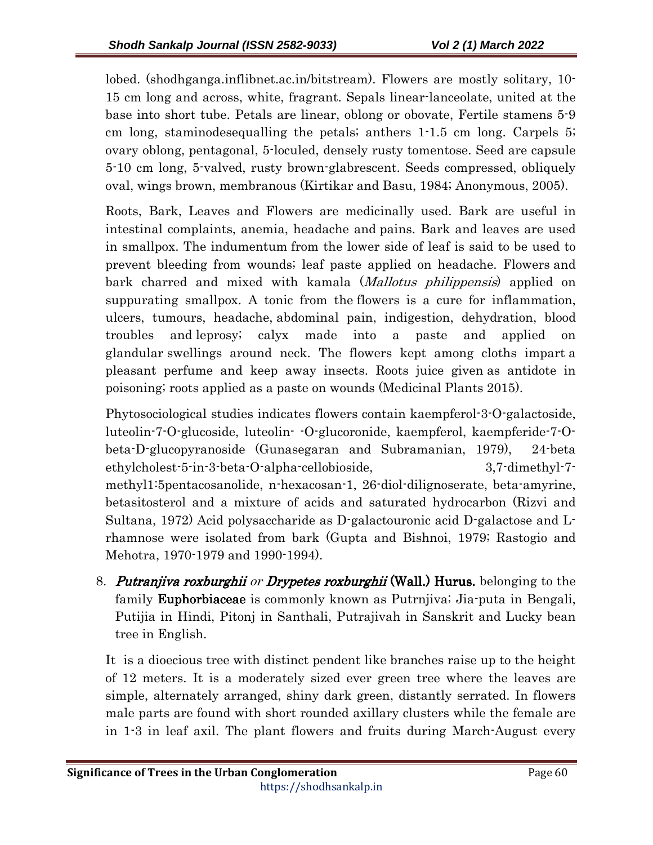lobed. (shodhganga.inflibnet.ac.in/bitstream). Flowers are mostly solitary, 10- 15 cm long and across, white, fragrant. Sepals linear-lanceolate, united at the base into short tube. Petals are linear, oblong or obovate, Fertile stamens 5-9 cm long, staminodesequalling the petals; anthers 1-1.5 cm long. Carpels 5; ovary oblong, pentagonal, 5-loculed, densely rusty tomentose. Seed are capsule 5-10 cm long, 5-valved, rusty brown-glabrescent. Seeds compressed, obliquely oval, wings brown, membranous (Kirtikar and Basu, 1984; Anonymous, 2005).

Roots, Bark, Leaves and Flowers are medicinally used. Bark are useful in intestinal complaints, anemia, headache and pains. Bark and leaves are used in smallpox. The indumentum from the lower side of leaf is said to be used to prevent bleeding from wounds; leaf paste applied on headache. Flowers and bark charred and mixed with kamala (*Mallotus philippensis*) applied on suppurating smallpox. A tonic from the flowers is a cure for inflammation, ulcers, tumours, headache, abdominal pain, indigestion, dehydration, blood troubles and leprosy; calyx made into a paste and applied on glandular swellings around neck. The flowers kept among cloths impart a pleasant perfume and keep away insects. Roots juice given as antidote in poisoning; roots applied as a paste on wounds (Medicinal Plants 2015).

Phytosociological studies indicates flowers contain kaempferol-3-O-galactoside, luteolin-7-O-glucoside, luteolin- -O-glucoronide, kaempferol, kaempferide-7-Obeta-D-glucopyranoside (Gunasegaran and Subramanian, 1979), 24-beta ethylcholest-5-in-3-beta-O-alpha-cellobioside, 3,7-dimethyl-7 methyl1:5pentacosanolide, n-hexacosan-1, 26-diol-dilignoserate, beta-amyrine, betasitosterol and a mixture of acids and saturated hydrocarbon (Rizvi and Sultana, 1972) Acid polysaccharide as D-galactouronic acid D-galactose and Lrhamnose were isolated from bark (Gupta and Bishnoi, 1979; Rastogio and Mehotra, 1970-1979 and 1990-1994).

8. Putranjiva roxburghii or Drypetes roxburghii (Wall.) Hurus. belonging to the family **Euphorbiaceae** is commonly known as Putrnjiva; Jia-puta in Bengali, Putijia in Hindi, Pitonj in Santhali, Putrajivah in Sanskrit and Lucky bean tree in English.

It is a dioecious tree with distinct pendent like branches raise up to the height of 12 meters. It is a moderately sized ever green tree where the leaves are simple, alternately arranged, shiny dark green, distantly serrated. In flowers male parts are found with short rounded axillary clusters while the female are in 1-3 in leaf axil. The plant flowers and fruits during March-August every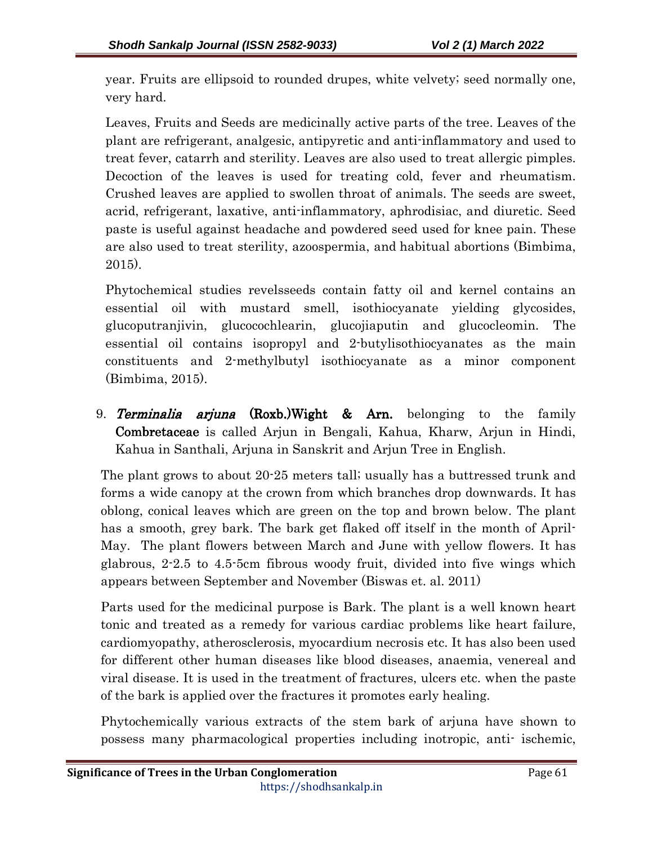year. Fruits are ellipsoid to rounded drupes, white velvety; seed normally one, very hard.

Leaves, Fruits and Seeds are medicinally active parts of the tree. Leaves of the plant are refrigerant, analgesic, antipyretic and anti-inflammatory and used to treat fever, catarrh and sterility. Leaves are also used to treat allergic pimples. Decoction of the leaves is used for treating cold, fever and rheumatism. Crushed leaves are applied to swollen throat of animals. The seeds are sweet, acrid, refrigerant, laxative, anti-inflammatory, aphrodisiac, and diuretic. Seed paste is useful against headache and powdered seed used for knee pain. These are also used to treat sterility, azoospermia, and habitual abortions (Bimbima, 2015).

Phytochemical studies revelsseeds contain fatty oil and kernel contains an essential oil with mustard smell, isothiocyanate yielding glycosides, glucoputranjivin, glucocochlearin, glucojiaputin and glucocleomin. The essential oil contains isopropyl and 2-butylisothiocyanates as the main constituents and 2-methylbutyl isothiocyanate as a minor component (Bimbima, 2015).

9. Terminalia arjuna (Roxb.)Wight & Arn. belonging to the family Combretaceae is called Arjun in Bengali, Kahua, Kharw, Arjun in Hindi, Kahua in Santhali, Arjuna in Sanskrit and Arjun Tree in English.

The plant grows to about 20-25 meters tall; usually has a buttressed trunk and forms a wide canopy at the crown from which branches drop downwards. It has oblong, conical leaves which are green on the top and brown below. The plant has a smooth, grey bark. The bark get flaked off itself in the month of April-May. The plant flowers between March and June with yellow flowers. It has glabrous, 2-2.5 to 4.5-5cm fibrous woody fruit, divided into five wings which appears between September and November (Biswas et. al. 2011)

Parts used for the medicinal purpose is Bark. The plant is a well known heart tonic and treated as a remedy for various cardiac problems like heart failure, cardiomyopathy, atherosclerosis, myocardium necrosis etc. It has also been used for different other human diseases like blood diseases, anaemia, venereal and viral disease. It is used in the treatment of fractures, ulcers etc. when the paste of the bark is applied over the fractures it promotes early healing.

Phytochemically various extracts of the stem bark of arjuna have shown to possess many pharmacological properties including inotropic, anti- ischemic,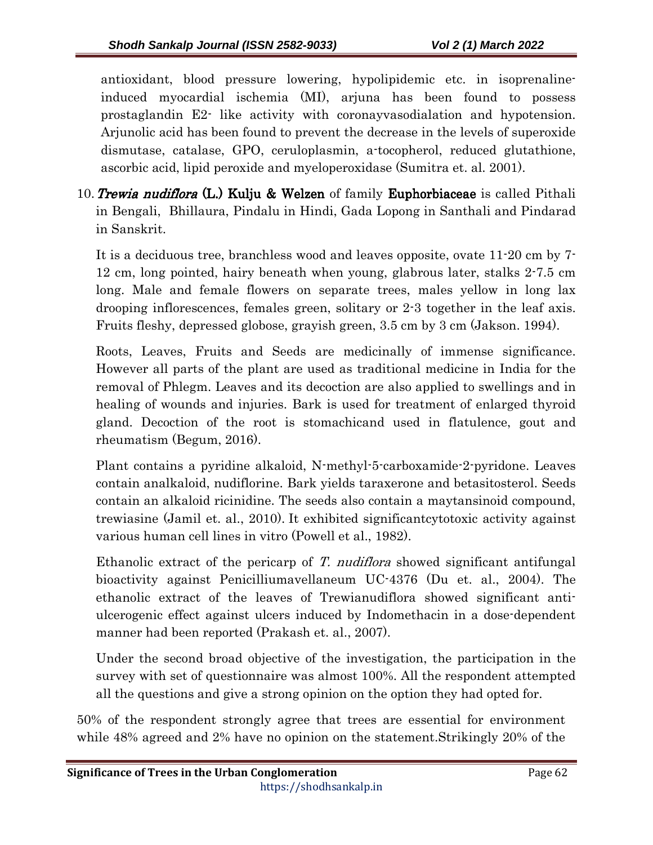antioxidant, blood pressure lowering, hypolipidemic etc. in isoprenalineinduced myocardial ischemia (MI), arjuna has been found to possess prostaglandin E2- like activity with coronayvasodialation and hypotension. Arjunolic acid has been found to prevent the decrease in the levels of superoxide dismutase, catalase, GPO, ceruloplasmin, a-tocopherol, reduced glutathione, ascorbic acid, lipid peroxide and myeloperoxidase (Sumitra et. al. 2001).

10. Trewia nudiflora (L.) Kulju & Welzen of family Euphorbiaceae is called Pithali in Bengali, Bhillaura, Pindalu in Hindi, Gada Lopong in Santhali and Pindarad in Sanskrit.

It is a deciduous tree, branchless wood and leaves opposite, ovate 11-20 cm by 7- 12 cm, long pointed, hairy beneath when young, glabrous later, stalks 2-7.5 cm long. Male and female flowers on separate trees, males yellow in long lax drooping inflorescences, females green, solitary or 2-3 together in the leaf axis. Fruits fleshy, depressed globose, grayish green, 3.5 cm by 3 cm (Jakson. 1994).

Roots, Leaves, Fruits and Seeds are medicinally of immense significance. However all parts of the plant are used as traditional medicine in India for the removal of Phlegm. Leaves and its decoction are also applied to swellings and in healing of wounds and injuries. Bark is used for treatment of enlarged thyroid gland. Decoction of the root is stomachicand used in flatulence, gout and rheumatism (Begum, 2016).

Plant contains a pyridine alkaloid, N-methyl-5-carboxamide-2-pyridone. Leaves contain analkaloid, nudiflorine. Bark yields taraxerone and betasitosterol. Seeds contain an alkaloid ricinidine. The seeds also contain a maytansinoid compound, trewiasine (Jamil et. al., 2010). It exhibited significantcytotoxic activity against various human cell lines in vitro (Powell et al., 1982).

Ethanolic extract of the pericarp of T. *nudiflora* showed significant antifungal bioactivity against Penicilliumavellaneum UC-4376 (Du et. al., 2004). The ethanolic extract of the leaves of Trewianudiflora showed significant antiulcerogenic effect against ulcers induced by Indomethacin in a dose-dependent manner had been reported (Prakash et. al., 2007).

Under the second broad objective of the investigation, the participation in the survey with set of questionnaire was almost 100%. All the respondent attempted all the questions and give a strong opinion on the option they had opted for.

50% of the respondent strongly agree that trees are essential for environment while 48% agreed and 2% have no opinion on the statement.Strikingly 20% of the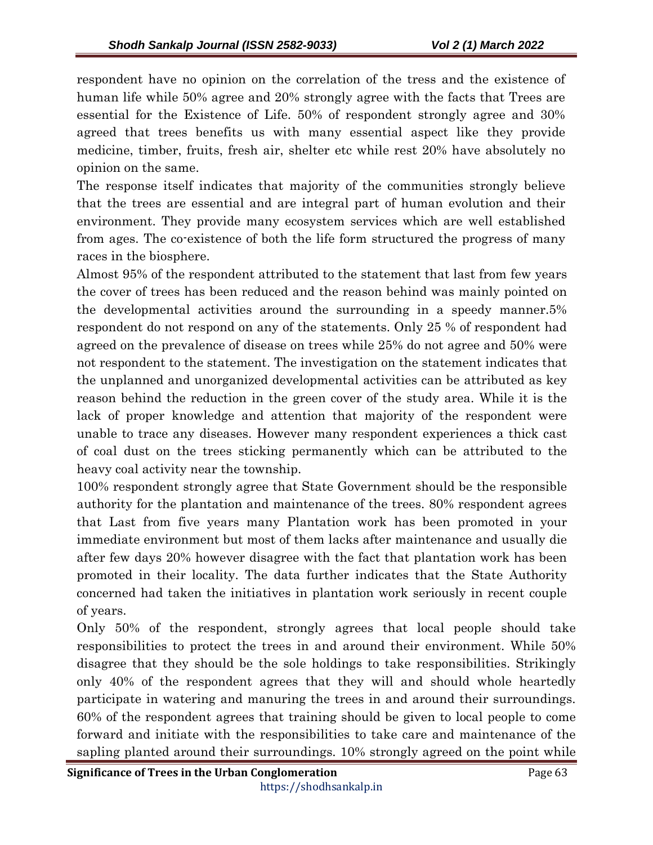respondent have no opinion on the correlation of the tress and the existence of human life while 50% agree and 20% strongly agree with the facts that Trees are essential for the Existence of Life. 50% of respondent strongly agree and 30% agreed that trees benefits us with many essential aspect like they provide medicine, timber, fruits, fresh air, shelter etc while rest 20% have absolutely no opinion on the same.

The response itself indicates that majority of the communities strongly believe that the trees are essential and are integral part of human evolution and their environment. They provide many ecosystem services which are well established from ages. The co-existence of both the life form structured the progress of many races in the biosphere.

Almost 95% of the respondent attributed to the statement that last from few years the cover of trees has been reduced and the reason behind was mainly pointed on the developmental activities around the surrounding in a speedy manner.5% respondent do not respond on any of the statements. Only 25 % of respondent had agreed on the prevalence of disease on trees while 25% do not agree and 50% were not respondent to the statement. The investigation on the statement indicates that the unplanned and unorganized developmental activities can be attributed as key reason behind the reduction in the green cover of the study area. While it is the lack of proper knowledge and attention that majority of the respondent were unable to trace any diseases. However many respondent experiences a thick cast of coal dust on the trees sticking permanently which can be attributed to the heavy coal activity near the township.

100% respondent strongly agree that State Government should be the responsible authority for the plantation and maintenance of the trees. 80% respondent agrees that Last from five years many Plantation work has been promoted in your immediate environment but most of them lacks after maintenance and usually die after few days 20% however disagree with the fact that plantation work has been promoted in their locality. The data further indicates that the State Authority concerned had taken the initiatives in plantation work seriously in recent couple of years.

Only 50% of the respondent, strongly agrees that local people should take responsibilities to protect the trees in and around their environment. While 50% disagree that they should be the sole holdings to take responsibilities. Strikingly only 40% of the respondent agrees that they will and should whole heartedly participate in watering and manuring the trees in and around their surroundings. 60% of the respondent agrees that training should be given to local people to come forward and initiate with the responsibilities to take care and maintenance of the sapling planted around their surroundings. 10% strongly agreed on the point while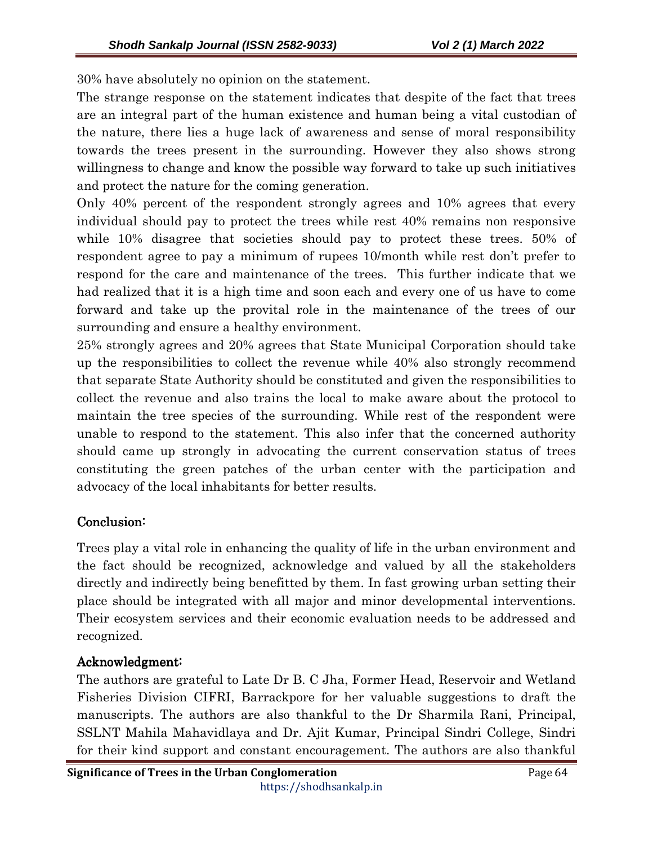30% have absolutely no opinion on the statement.

The strange response on the statement indicates that despite of the fact that trees are an integral part of the human existence and human being a vital custodian of the nature, there lies a huge lack of awareness and sense of moral responsibility towards the trees present in the surrounding. However they also shows strong willingness to change and know the possible way forward to take up such initiatives and protect the nature for the coming generation.

Only 40% percent of the respondent strongly agrees and 10% agrees that every individual should pay to protect the trees while rest 40% remains non responsive while 10% disagree that societies should pay to protect these trees. 50% of respondent agree to pay a minimum of rupees 10/month while rest don't prefer to respond for the care and maintenance of the trees. This further indicate that we had realized that it is a high time and soon each and every one of us have to come forward and take up the provital role in the maintenance of the trees of our surrounding and ensure a healthy environment.

25% strongly agrees and 20% agrees that State Municipal Corporation should take up the responsibilities to collect the revenue while 40% also strongly recommend that separate State Authority should be constituted and given the responsibilities to collect the revenue and also trains the local to make aware about the protocol to maintain the tree species of the surrounding. While rest of the respondent were unable to respond to the statement. This also infer that the concerned authority should came up strongly in advocating the current conservation status of trees constituting the green patches of the urban center with the participation and advocacy of the local inhabitants for better results.

### Conclusion: Conclusion:

Trees play a vital role in enhancing the quality of life in the urban environment and the fact should be recognized, acknowledge and valued by all the stakeholders directly and indirectly being benefitted by them. In fast growing urban setting their place should be integrated with all major and minor developmental interventions. Their ecosystem services and their economic evaluation needs to be addressed and recognized.

# Acknowledgment:

The authors are grateful to Late Dr B. C Jha, Former Head, Reservoir and Wetland Fisheries Division CIFRI, Barrackpore for her valuable suggestions to draft the manuscripts. The authors are also thankful to the Dr Sharmila Rani, Principal, SSLNT Mahila Mahavidlaya and Dr. Ajit Kumar, Principal Sindri College, Sindri for their kind support and constant encouragement. The authors are also thankful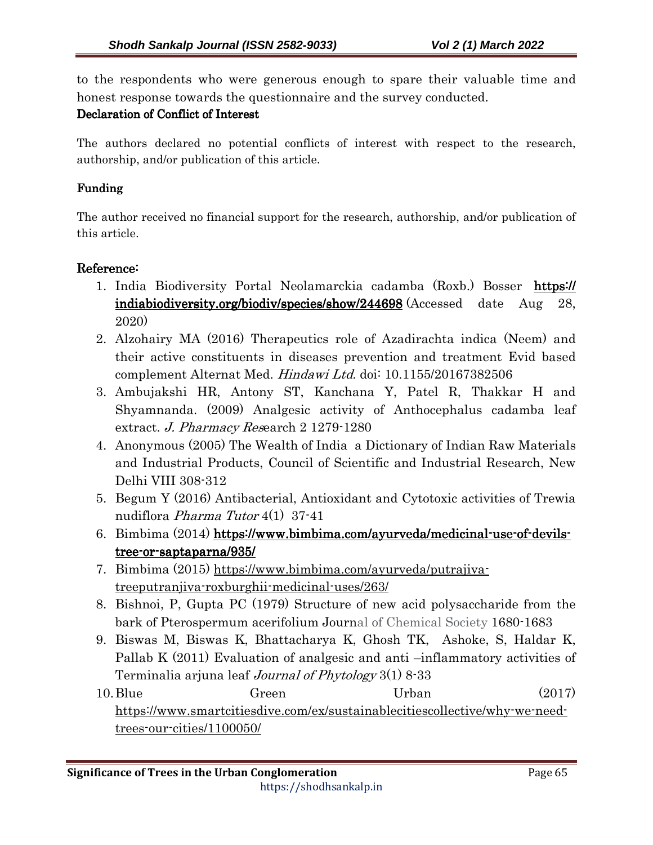to the respondents who were generous enough to spare their valuable time and honest response towards the questionnaire and the survey conducted.

### Declaration of Conflict of Interest

The authors declared no potential conflicts of interest with respect to the research, authorship, and/or publication of this article.

### Funding Funding

The author received no financial support for the research, authorship, and/or publication of this article.

### Reference:

- 1. India Biodiversity Portal Neolamarckia cadamba (Roxb.) Bosser https:// indiabiodiversity.org/biodiv/species/show/244698 (Accessed date Aug 28, 2020)
- 2. Alzohairy MA (2016) Therapeutics role of Azadirachta indica (Neem) and their active constituents in diseases prevention and treatment Evid based complement Alternat Med. Hindawi Ltd. doi: 10.1155/20167382506
- 3. Ambujakshi HR, Antony ST, Kanchana Y, Patel R, Thakkar H and Shyamnanda. (2009) Analgesic activity of Anthocephalus cadamba leaf extract. J. Pharmacy Research 2 1279-1280
- 4. Anonymous (2005) The Wealth of India a Dictionary of Indian Raw Materials and Industrial Products, Council of Scientific and Industrial Research, New Delhi VIII 308-312
- 5. Begum Y (2016) Antibacterial, Antioxidant and Cytotoxic activities of Trewia nudiflora Pharma Tutor 4(1) 37-41
- 6. Bimbima (2014) https://www.bimbima.com/ayurveda/medicinal-use-of-devils $tree-or-saptaparna/935/$
- 7. Bimbima (2015) https://www.bimbima.com/ayurveda/putrajivatreeputranjiva-roxburghii-medicinal-uses/263/
- 8. Bishnoi, P, Gupta PC (1979) Structure of new acid polysaccharide from the bark of Pterospermum acerifolium Journal of Chemical Society 1680-1683
- 9. Biswas M, Biswas K, Bhattacharya K, Ghosh TK, Ashoke, S, Haldar K, Pallab K (2011) Evaluation of analgesic and anti –inflammatory activities of Terminalia arjuna leaf *Journal of Phytology* 3(1) 8-33
- 10. Blue Green Urban (2017) https://www.smartcitiesdive.com/ex/sustainablecitiescollective/why-we-needtrees-our-cities/1100050/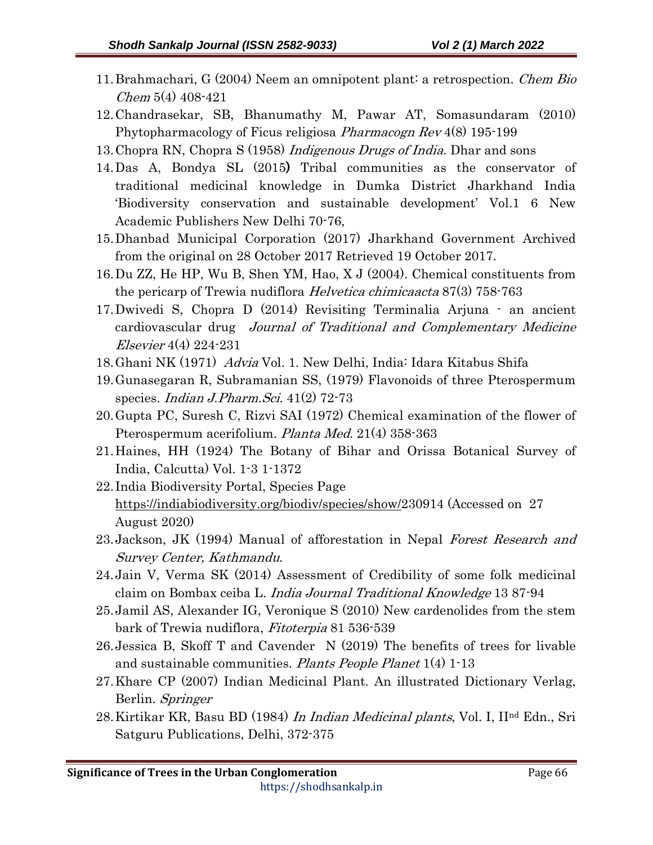- 11.Brahmachari, G (2004) Neem an omnipotent plant: a retrospection. Chem Bio Chem 5(4) 408-421
- 12.Chandrasekar, SB, Bhanumathy M, Pawar AT, Somasundaram (2010) Phytopharmacology of Ficus religiosa *Pharmacogn Rev* 4(8) 195-199
- 13. Chopra RN, Chopra S (1958) *Indigenous Drugs of India*. Dhar and sons
- 14.Das A, Bondya SL (2015) Tribal communities as the conservator of traditional medicinal knowledge in Dumka District Jharkhand India 'Biodiversity conservation and sustainable development' Vol.1 6 New Academic Publishers New Delhi 70-76,
- 15.Dhanbad Municipal Corporation (2017) Jharkhand Government Archived from the original on 28 October 2017 Retrieved 19 October 2017.
- 16.Du ZZ, He HP, Wu B, Shen YM, Hao, X J (2004). Chemical constituents from the pericarp of Trewia nudiflora *Helvetica chimicaacta* 87(3) 758-763
- 17.Dwivedi S, Chopra D (2014) Revisiting Terminalia Arjuna an ancient cardiovascular drug Journal of Traditional and Complementary Medicine Elsevier 4(4) 224-231
- 18.Ghani NK (1971) Advia Vol. 1. New Delhi, India: Idara Kitabus Shifa
- 19.Gunasegaran R, Subramanian SS, (1979) Flavonoids of three Pterospermum species. *Indian J.Pharm.Sci.* 41(2) 72-73
- 20.Gupta PC, Suresh C, Rizvi SAI (1972) Chemical examination of the flower of Pterospermum acerifolium. Planta Med. 21(4) 358-363
- 21.Haines, HH (1924) The Botany of Bihar and Orissa Botanical Survey of India, Calcutta) Vol. 1-3 1-1372
- 22. India Biodiversity Portal, Species Page https://indiabiodiversity.org/biodiv/species/show/230914 (Accessed on 27 August 2020)
- 23. Jackson, JK (1994) Manual of afforestation in Nepal Forest Research and Survey Center, Kathmandu.
- 24.Jain V, Verma SK (2014) Assessment of Credibility of some folk medicinal claim on Bombax ceiba L. India Journal Traditional Knowledge 13 87-94
- 25.Jamil AS, Alexander IG, Veronique S (2010) New cardenolides from the stem bark of Trewia nudiflora, Fitoterpia 81 536-539
- 26.Jessica B, Skoff T and Cavender N (2019) The benefits of trees for livable and sustainable communities. *Plants People Planet* 1(4) 1-13
- 27.Khare CP (2007) Indian Medicinal Plant. An illustrated Dictionary Verlag, Berlin. Springer
- 28. Kirtikar KR, Basu BD (1984) In Indian Medicinal plants, Vol. I, II<sup>nd</sup> Edn., Sri Satguru Publications, Delhi, 372-375